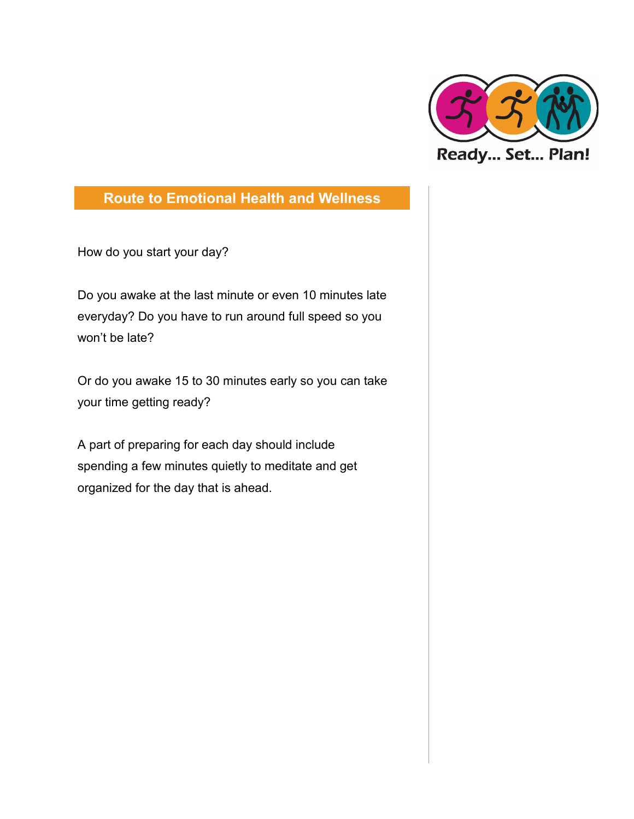

How do you start your day?

Do you awake at the last minute or even 10 minutes late everyday? Do you have to run around full speed so you won't be late?

Or do you awake 15 to 30 minutes early so you can take your time getting ready?

A part of preparing for each day should include spending a few minutes quietly to meditate and get organized for the day that is ahead.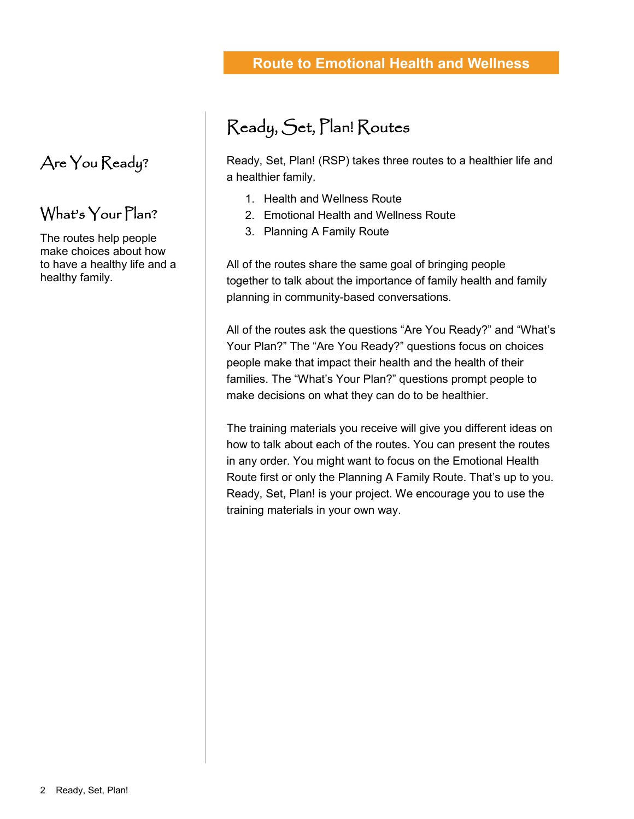2 Ready, Set, Plan!

## **Route to Emotional Health and Wellness**

# Ready, Set, Plan! Routes

Ready, Set, Plan! (RSP) takes three routes to a healthier life and a healthier family.

- 1. Health and Wellness Route
- 2. Emotional Health and Wellness Route
- 3. Planning A Family Route

All of the routes share the same goal of bringing people together to talk about the importance of family health and family planning in community-based conversations.

All of the routes ask the questions "Are You Ready?" and "What's Your Plan?" The "Are You Ready?" questions focus on choices people make that impact their health and the health of their families. The "What's Your Plan?" questions prompt people to make decisions on what they can do to be healthier.

The training materials you receive will give you different ideas on how to talk about each of the routes. You can present the routes in any order. You might want to focus on the Emotional Health Route first or only the Planning A Family Route. That's up to you. Ready, Set, Plan! is your project. We encourage you to use the training materials in your own way.

# Are You Ready?

### What's Your Plan?

The routes help people make choices about how to have a healthy life and a healthy family.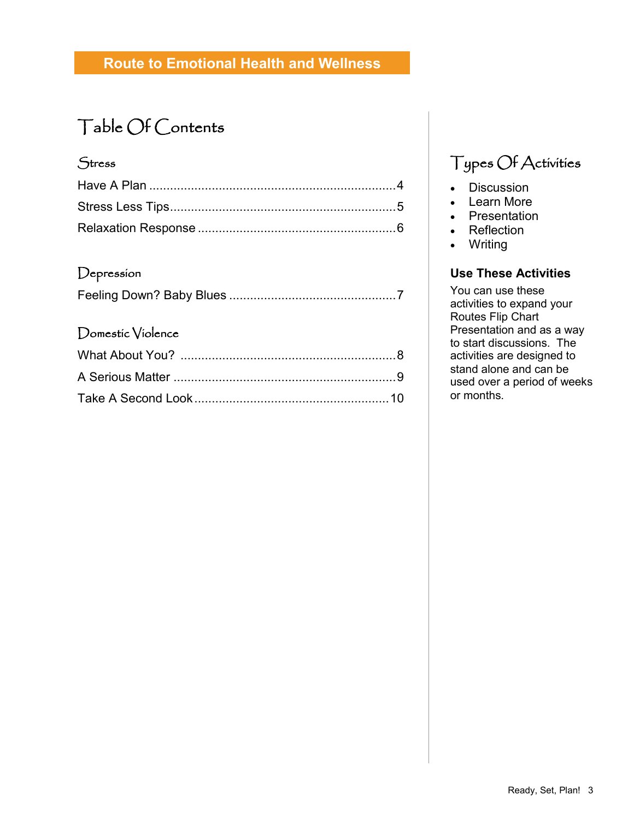# Table Of Contents

#### **Stress**

#### Depression

|--|

#### Domestic Violence

# Types Of Activities

- Discussion
- Learn More
- Presentation
- Reflection
- Writing

#### **Use These Activities**

You can use these activities to expand your Routes Flip Chart Presentation and as a way to start discussions. The activities are designed to stand alone and can be used over a period of weeks or months.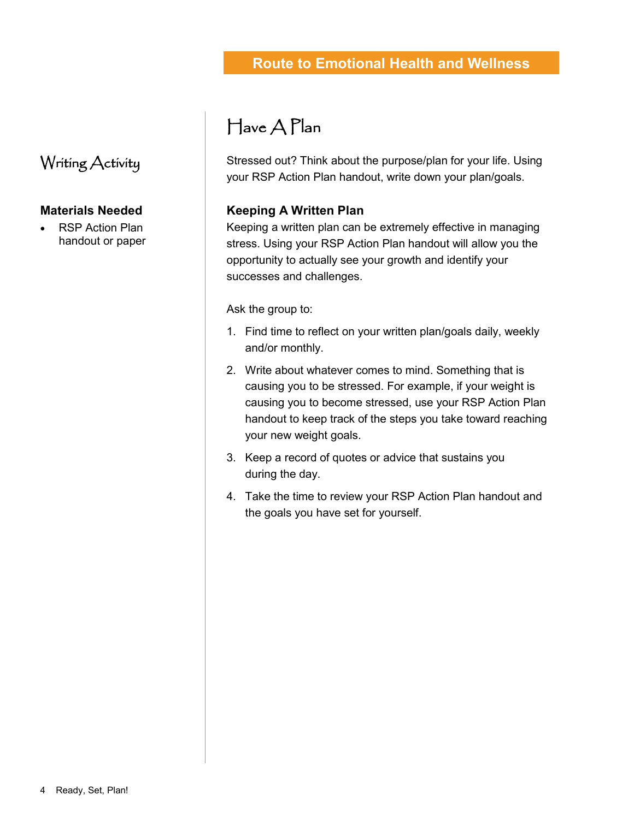### Writing Activity

#### **Materials Needed**

 RSP Action Plan handout or paper

# Have A Plan

Stressed out? Think about the purpose/plan for your life. Using your RSP Action Plan handout, write down your plan/goals.

#### **Keeping A Written Plan**

Keeping a written plan can be extremely effective in managing stress. Using your RSP Action Plan handout will allow you the opportunity to actually see your growth and identify your successes and challenges.

Ask the group to:

- 1. Find time to reflect on your written plan/goals daily, weekly and/or monthly.
- 2. Write about whatever comes to mind. Something that is causing you to be stressed. For example, if your weight is causing you to become stressed, use your RSP Action Plan handout to keep track of the steps you take toward reaching your new weight goals.
- 3. Keep a record of quotes or advice that sustains you during the day.
- 4. Take the time to review your RSP Action Plan handout and the goals you have set for yourself.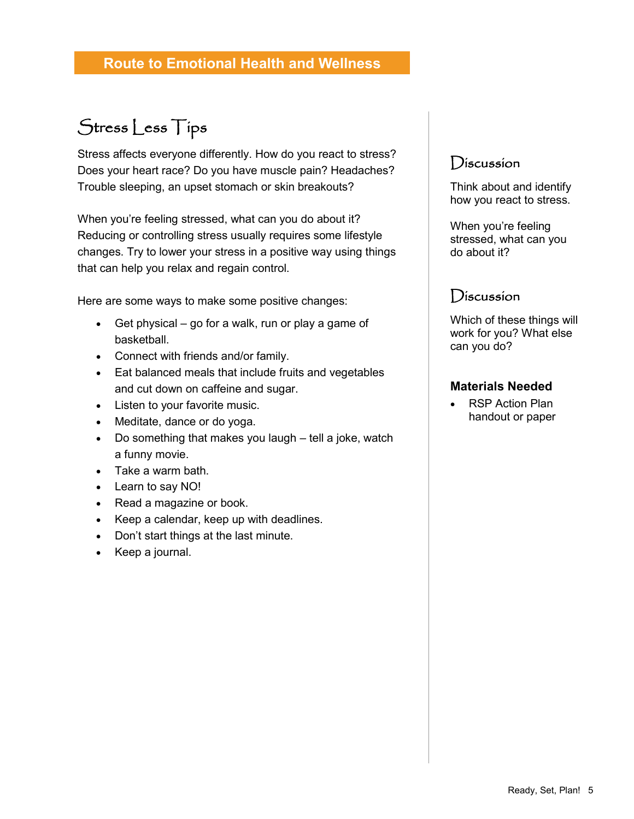# Stress Less Tips

Stress affects everyone differently. How do you react to stress? Does your heart race? Do you have muscle pain? Headaches? Trouble sleeping, an upset stomach or skin breakouts?

When you're feeling stressed, what can you do about it? Reducing or controlling stress usually requires some lifestyle changes. Try to lower your stress in a positive way using things that can help you relax and regain control.

Here are some ways to make some positive changes:

- Get physical go for a walk, run or play a game of basketball.
- Connect with friends and/or family.
- Eat balanced meals that include fruits and vegetables and cut down on caffeine and sugar.
- Listen to your favorite music.
- Meditate, dance or do yoga.
- Do something that makes you laugh tell a joke, watch a funny movie.
- Take a warm bath.
- Learn to say NO!
- Read a magazine or book.
- Keep a calendar, keep up with deadlines.
- Don't start things at the last minute.
- Keep a journal.

#### Discussion

Think about and identify how you react to stress.

When you're feeling stressed, what can you do about it?

### **Discussion**

Which of these things will work for you? What else can you do?

#### **Materials Needed**

 RSP Action Plan handout or paper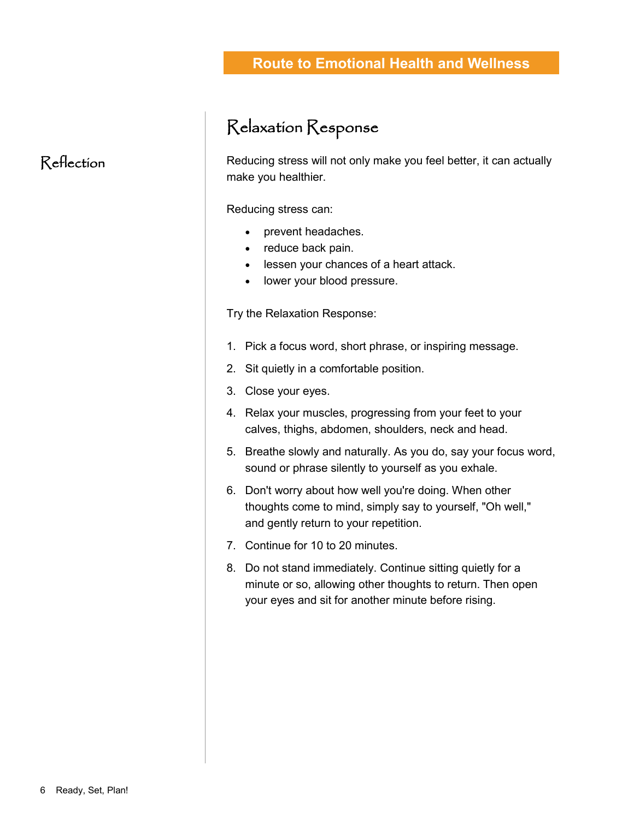# Relaxation Response

Reducing stress will not only make you feel better, it can actually make you healthier.

Reducing stress can:

- prevent headaches.
- reduce back pain.
- lessen your chances of a heart attack.
- lower your blood pressure.

Try the Relaxation Response:

- 1. Pick a focus word, short phrase, or inspiring message.
- 2. Sit quietly in a comfortable position.
- 3. Close your eyes.
- 4. Relax your muscles, progressing from your feet to your calves, thighs, abdomen, shoulders, neck and head.
- 5. Breathe slowly and naturally. As you do, say your focus word, sound or phrase silently to yourself as you exhale.
- 6. Don't worry about how well you're doing. When other thoughts come to mind, simply say to yourself, "Oh well," and gently return to your repetition.
- 7. Continue for 10 to 20 minutes.
- 8. Do not stand immediately. Continue sitting quietly for a minute or so, allowing other thoughts to return. Then open your eyes and sit for another minute before rising.

### Reflection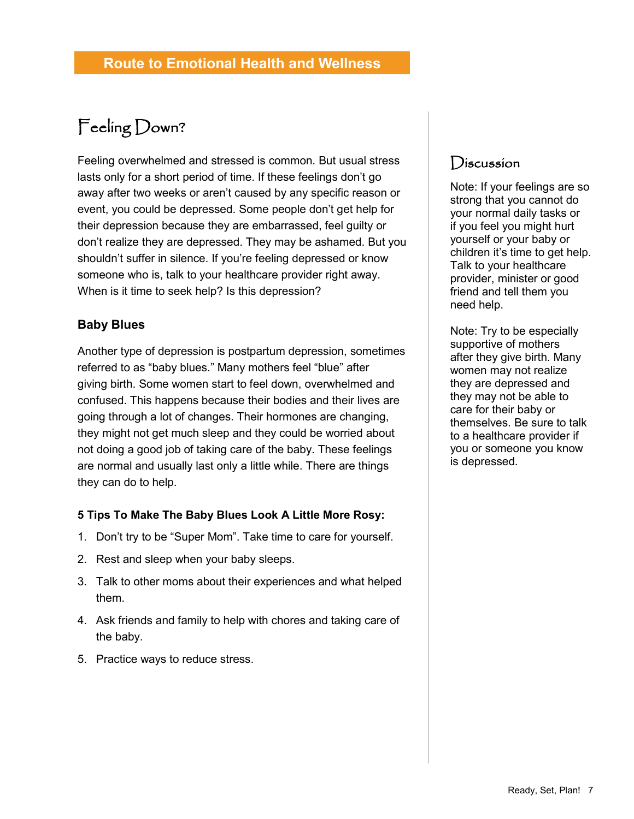# Feeling Down?

Feeling overwhelmed and stressed is common. But usual stress lasts only for a short period of time. If these feelings don't go away after two weeks or aren't caused by any specific reason or event, you could be depressed. Some people don't get help for their depression because they are embarrassed, feel guilty or don't realize they are depressed. They may be ashamed. But you shouldn't suffer in silence. If you're feeling depressed or know someone who is, talk to your healthcare provider right away. When is it time to seek help? Is this depression?

#### **Baby Blues**

Another type of depression is postpartum depression, sometimes referred to as "baby blues." Many mothers feel "blue" after giving birth. Some women start to feel down, overwhelmed and confused. This happens because their bodies and their lives are going through a lot of changes. Their hormones are changing, they might not get much sleep and they could be worried about not doing a good job of taking care of the baby. These feelings are normal and usually last only a little while. There are things they can do to help.

#### **5 Tips To Make The Baby Blues Look A Little More Rosy:**

- 1. Don't try to be "Super Mom". Take time to care for yourself.
- 2. Rest and sleep when your baby sleeps.
- 3. Talk to other moms about their experiences and what helped them.
- 4. Ask friends and family to help with chores and taking care of the baby.
- 5. Practice ways to reduce stress.

### **Discussion**

Note: If your feelings are so strong that you cannot do your normal daily tasks or if you feel you might hurt yourself or your baby or children it's time to get help. Talk to your healthcare provider, minister or good friend and tell them you need help.

Note: Try to be especially supportive of mothers after they give birth. Many women may not realize they are depressed and they may not be able to care for their baby or themselves. Be sure to talk to a healthcare provider if you or someone you know is depressed.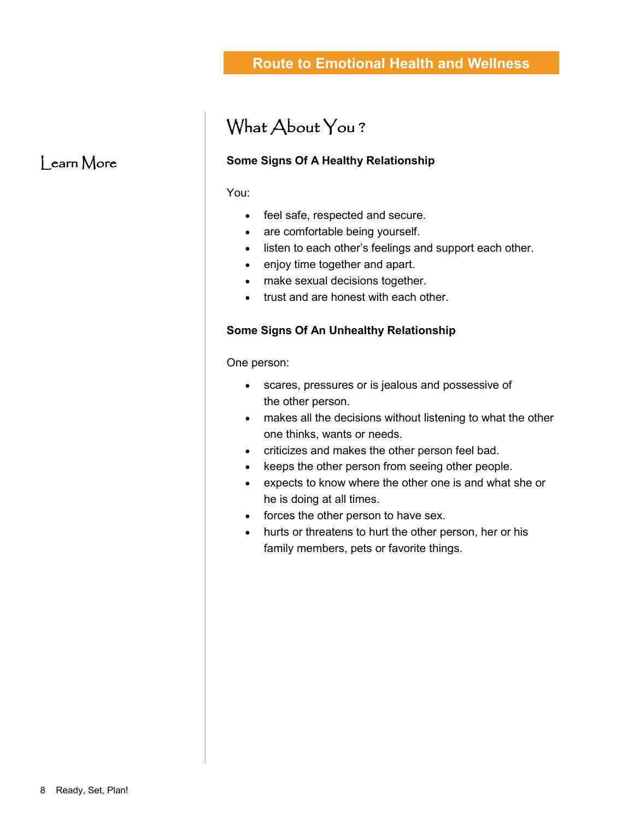# What About You ?

#### **Some Signs Of A Healthy Relationship**

You:

- feel safe, respected and secure.
- are comfortable being yourself.
- listen to each other's feelings and support each other.
- enjoy time together and apart.
- make sexual decisions together.
- trust and are honest with each other.

#### **Some Signs Of An Unhealthy Relationship**

One person:

- scares, pressures or is jealous and possessive of the other person.
- makes all the decisions without listening to what the other one thinks, wants or needs.
- criticizes and makes the other person feel bad.
- keeps the other person from seeing other people.
- expects to know where the other one is and what she or he is doing at all times.
- forces the other person to have sex.
- hurts or threatens to hurt the other person, her or his family members, pets or favorite things.

### Learn More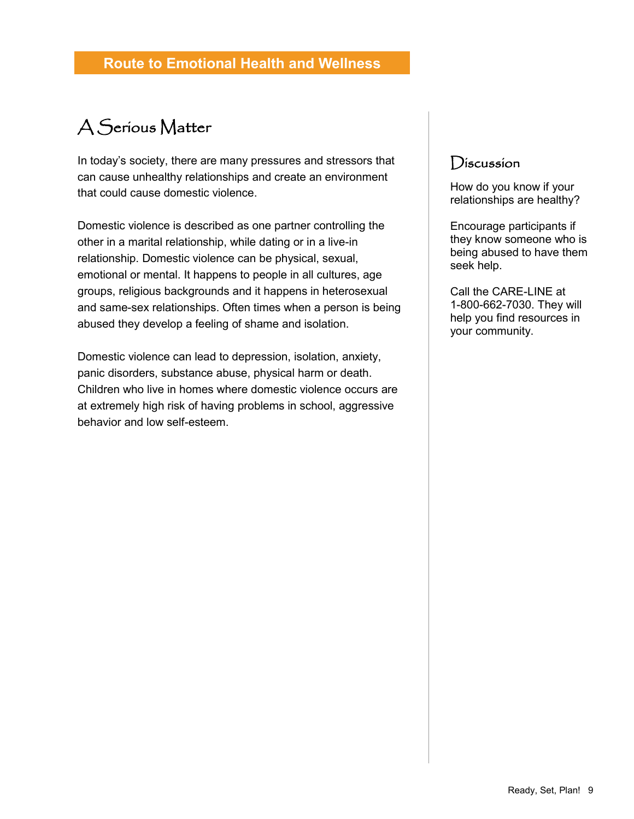# A Serious Matter

In today's society, there are many pressures and stressors that can cause unhealthy relationships and create an environment that could cause domestic violence.

Domestic violence is described as one partner controlling the other in a marital relationship, while dating or in a live-in relationship. Domestic violence can be physical, sexual, emotional or mental. It happens to people in all cultures, age groups, religious backgrounds and it happens in heterosexual and same-sex relationships. Often times when a person is being abused they develop a feeling of shame and isolation.

Domestic violence can lead to depression, isolation, anxiety, panic disorders, substance abuse, physical harm or death. Children who live in homes where domestic violence occurs are at extremely high risk of having problems in school, aggressive behavior and low self-esteem.

### **Discussion**

How do you know if your relationships are healthy?

Encourage participants if they know someone who is being abused to have them seek help.

Call the CARE-LINE at 1-800-662-7030. They will help you find resources in your community.